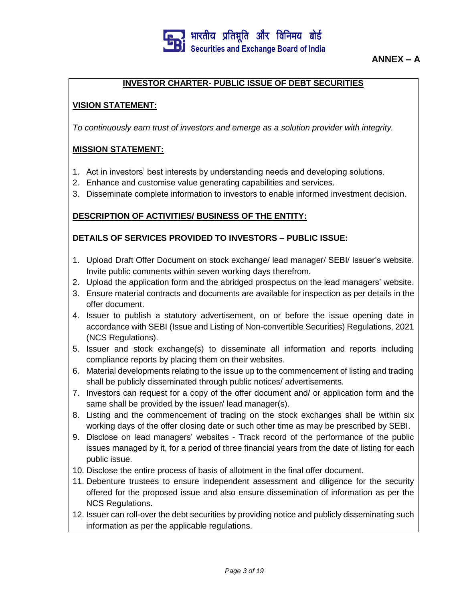

## **INVESTOR CHARTER- PUBLIC ISSUE OF DEBT SECURITIES**

#### **VISION STATEMENT:**

*To continuously earn trust of investors and emerge as a solution provider with integrity.*

#### **MISSION STATEMENT:**

- 1. Act in investors' best interests by understanding needs and developing solutions.
- 2. Enhance and customise value generating capabilities and services.
- 3. Disseminate complete information to investors to enable informed investment decision.

#### **DESCRIPTION OF ACTIVITIES/ BUSINESS OF THE ENTITY:**

#### **DETAILS OF SERVICES PROVIDED TO INVESTORS – PUBLIC ISSUE:**

- 1. Upload Draft Offer Document on stock exchange/ lead manager/ SEBI/ Issuer's website. Invite public comments within seven working days therefrom.
- 2. Upload the application form and the abridged prospectus on the lead managers' website.
- 3. Ensure material contracts and documents are available for inspection as per details in the offer document.
- 4. Issuer to publish a statutory advertisement, on or before the issue opening date in accordance with SEBI (Issue and Listing of Non-convertible Securities) Regulations, 2021 (NCS Regulations).
- 5. Issuer and stock exchange(s) to disseminate all information and reports including compliance reports by placing them on their websites.
- 6. Material developments relating to the issue up to the commencement of listing and trading shall be publicly disseminated through public notices/ advertisements.
- 7. Investors can request for a copy of the offer document and/ or application form and the same shall be provided by the issuer/ lead manager(s).
- 8. Listing and the commencement of trading on the stock exchanges shall be within six working days of the offer closing date or such other time as may be prescribed by SEBI.
- 9. Disclose on lead managers' websites Track record of the performance of the public issues managed by it, for a period of three financial years from the date of listing for each public issue.
- 10. Disclose the entire process of basis of allotment in the final offer document.
- 11. Debenture trustees to ensure independent assessment and diligence for the security offered for the proposed issue and also ensure dissemination of information as per the NCS Regulations.
- 12. Issuer can roll-over the debt securities by providing notice and publicly disseminating such information as per the applicable regulations.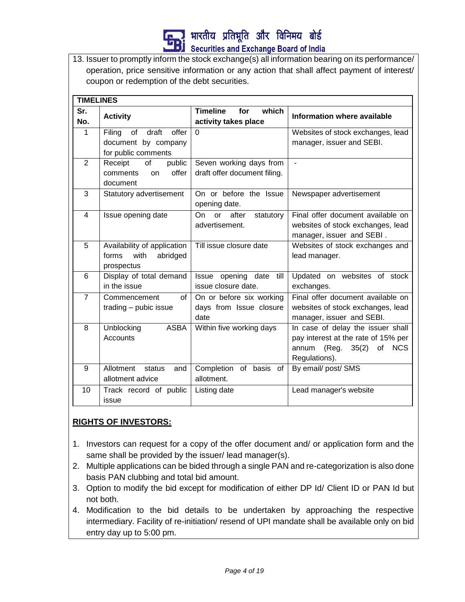

13. Issuer to promptly inform the stock exchange(s) all information bearing on its performance/ operation, price sensitive information or any action that shall affect payment of interest/ coupon or redemption of the debt securities.

|                         | <b>TIMELINES</b>                                                             |                                                             |                                                                                                                          |  |  |  |
|-------------------------|------------------------------------------------------------------------------|-------------------------------------------------------------|--------------------------------------------------------------------------------------------------------------------------|--|--|--|
| Sr.<br>No.              | <b>Activity</b>                                                              | <b>Timeline</b><br>which<br>for<br>activity takes place     | Information where available                                                                                              |  |  |  |
| 1                       | Filing<br>draft<br>offer<br>of<br>document by company<br>for public comments | $\Omega$                                                    | Websites of stock exchanges, lead<br>manager, issuer and SEBI.                                                           |  |  |  |
| $\overline{2}$          | of<br>Receipt<br>public<br>offer<br>comments<br>on<br>document               | Seven working days from<br>draft offer document filing.     | $\blacksquare$                                                                                                           |  |  |  |
| 3                       | Statutory advertisement                                                      | On or before the Issue<br>opening date.                     | Newspaper advertisement                                                                                                  |  |  |  |
| $\overline{\mathbf{4}}$ | Issue opening date                                                           | after<br>On<br>statutory<br>or<br>advertisement.            | Final offer document available on<br>websites of stock exchanges, lead<br>manager, issuer and SEBI.                      |  |  |  |
| 5                       | Availability of application<br>with<br>abridged<br>forms<br>prospectus       | Till issue closure date                                     | Websites of stock exchanges and<br>lead manager.                                                                         |  |  |  |
| 6                       | Display of total demand<br>in the issue                                      | Issue opening date<br>till<br>issue closure date.           | Updated on websites of stock<br>exchanges.                                                                               |  |  |  |
| $\overline{7}$          | Commencement<br>οf<br>trading - pubic issue                                  | On or before six working<br>days from Issue closure<br>date | Final offer document available on<br>websites of stock exchanges, lead<br>manager, issuer and SEBI.                      |  |  |  |
| 8                       | Unblocking<br><b>ASBA</b><br>Accounts                                        | Within five working days                                    | In case of delay the issuer shall<br>pay interest at the rate of 15% per<br>35(2) of NCS<br>annum (Reg.<br>Regulations). |  |  |  |
| 9                       | Allotment<br>status<br>and<br>allotment advice                               | Completion of basis<br>οf<br>allotment.                     | By email/ post/ SMS                                                                                                      |  |  |  |
| 10                      | Track record of public<br>issue                                              | Listing date                                                | Lead manager's website                                                                                                   |  |  |  |

## **RIGHTS OF INVESTORS:**

- 1. Investors can request for a copy of the offer document and/ or application form and the same shall be provided by the issuer/ lead manager(s).
- 2. Multiple applications can be bided through a single PAN and re-categorization is also done basis PAN clubbing and total bid amount.
- 3. Option to modify the bid except for modification of either DP Id/ Client ID or PAN Id but not both.
- 4. Modification to the bid details to be undertaken by approaching the respective intermediary. Facility of re-initiation/ resend of UPI mandate shall be available only on bid entry day up to 5:00 pm.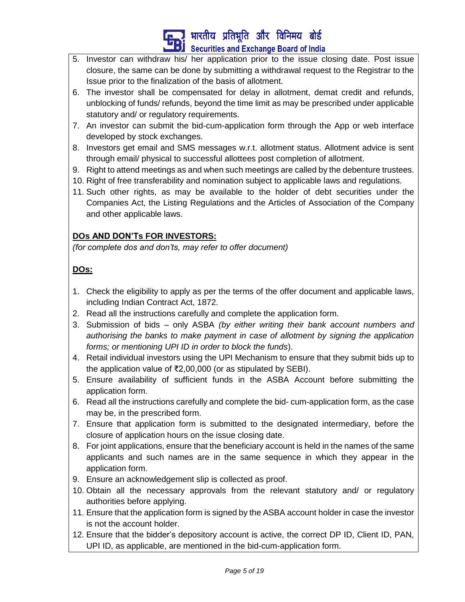

- 5. Investor can withdraw his/ her application prior to the issue closing date. Post issue closure, the same can be done by submitting a withdrawal request to the Registrar to the Issue prior to the finalization of the basis of allotment.
- 6. The investor shall be compensated for delay in allotment, demat credit and refunds, unblocking of funds/ refunds, beyond the time limit as may be prescribed under applicable statutory and/ or regulatory requirements.
- 7. An investor can submit the bid-cum-application form through the App or web interface developed by stock exchanges.
- 8. Investors get email and SMS messages w.r.t. allotment status. Allotment advice is sent through email/ physical to successful allottees post completion of allotment.
- 9. Right to attend meetings as and when such meetings are called by the debenture trustees.
- 10. Right of free transferability and nomination subject to applicable laws and regulations.
- 11. Such other rights, as may be available to the holder of debt securities under the Companies Act, the Listing Regulations and the Articles of Association of the Company and other applicable laws.

## **DOs AND DON'Ts FOR INVESTORS:**

*(for complete dos and don'ts, may refer to offer document)*

# **DOs:**

- 1. Check the eligibility to apply as per the terms of the offer document and applicable laws, including Indian Contract Act, 1872.
- 2. Read all the instructions carefully and complete the application form.
- 3. Submission of bids only ASBA *(by either writing their bank account numbers and authorising the banks to make payment in case of allotment by signing the application forms; or mentioning UPI ID in order to block the funds*).
- 4. Retail individual investors using the UPI Mechanism to ensure that they submit bids up to the application value of ₹2,00,000 (or as stipulated by SEBI).
- 5. Ensure availability of sufficient funds in the ASBA Account before submitting the application form.
- 6. Read all the instructions carefully and complete the bid- cum-application form, as the case may be, in the prescribed form.
- 7. Ensure that application form is submitted to the designated intermediary, before the closure of application hours on the issue closing date.
- 8. For joint applications, ensure that the beneficiary account is held in the names of the same applicants and such names are in the same sequence in which they appear in the application form.
- 9. Ensure an acknowledgement slip is collected as proof.
- 10. Obtain all the necessary approvals from the relevant statutory and/ or regulatory authorities before applying.
- 11. Ensure that the application form is signed by the ASBA account holder in case the investor is not the account holder.
- 12. Ensure that the bidder's depository account is active, the correct DP ID, Client ID, PAN, UPI ID, as applicable, are mentioned in the bid-cum-application form.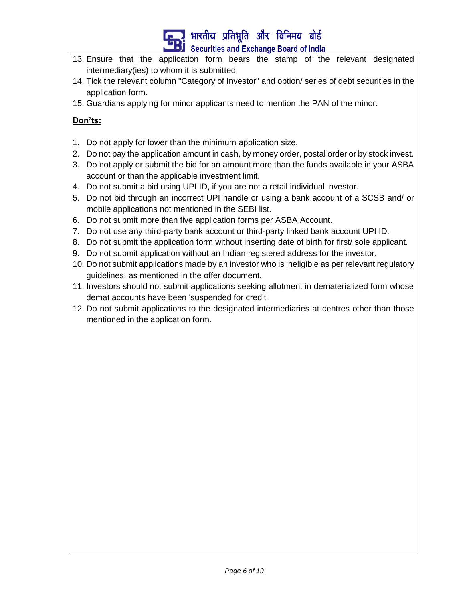

- 13. Ensure that the application form bears the stamp of the relevant designated intermediary(ies) to whom it is submitted.
- 14. Tick the relevant column "Category of Investor" and option/ series of debt securities in the application form.
- 15. Guardians applying for minor applicants need to mention the PAN of the minor.

## **Don'ts:**

- 1. Do not apply for lower than the minimum application size.
- 2. Do not pay the application amount in cash, by money order, postal order or by stock invest.
- 3. Do not apply or submit the bid for an amount more than the funds available in your ASBA account or than the applicable investment limit.
- 4. Do not submit a bid using UPI ID, if you are not a retail individual investor.
- 5. Do not bid through an incorrect UPI handle or using a bank account of a SCSB and/ or mobile applications not mentioned in the SEBI list.
- 6. Do not submit more than five application forms per ASBA Account.
- 7. Do not use any third-party bank account or third-party linked bank account UPI ID.
- 8. Do not submit the application form without inserting date of birth for first/ sole applicant.
- 9. Do not submit application without an Indian registered address for the investor.
- 10. Do not submit applications made by an investor who is ineligible as per relevant regulatory guidelines, as mentioned in the offer document.
- 11. Investors should not submit applications seeking allotment in dematerialized form whose demat accounts have been 'suspended for credit'.
- 12. Do not submit applications to the designated intermediaries at centres other than those mentioned in the application form.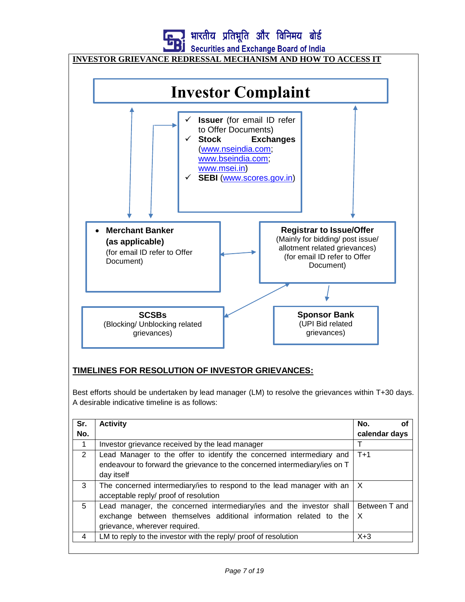

## **INVESTOR GRIEVANCE REDRESSAL MECHANISM AND HOW TO ACCESS IT**



### **TIMELINES FOR RESOLUTION OF INVESTOR GRIEVANCES:**

Best efforts should be undertaken by lead manager (LM) to resolve the grievances within T+30 days. A desirable indicative timeline is as follows:

|     | <b>Activity</b>                                                                         | No.<br>Οt     |
|-----|-----------------------------------------------------------------------------------------|---------------|
| No. |                                                                                         | calendar days |
|     | Investor grievance received by the lead manager                                         |               |
| 2   | Lead Manager to the offer to identify the concerned intermediary and                    | $T+1$         |
|     | endeavour to forward the grievance to the concerned intermediary/ies on T               |               |
|     | day itself                                                                              |               |
| 3   | The concerned intermediary/ies to respond to the lead manager with an $\vert X \rangle$ |               |
|     | acceptable reply/ proof of resolution                                                   |               |
| 5   | Lead manager, the concerned intermediary/ies and the investor shall                     | Between T and |
|     | exchange between themselves additional information related to the                       | $\times$      |
|     | grievance, wherever required.                                                           |               |
| 4   | LM to reply to the investor with the reply/ proof of resolution                         | $X+3$         |